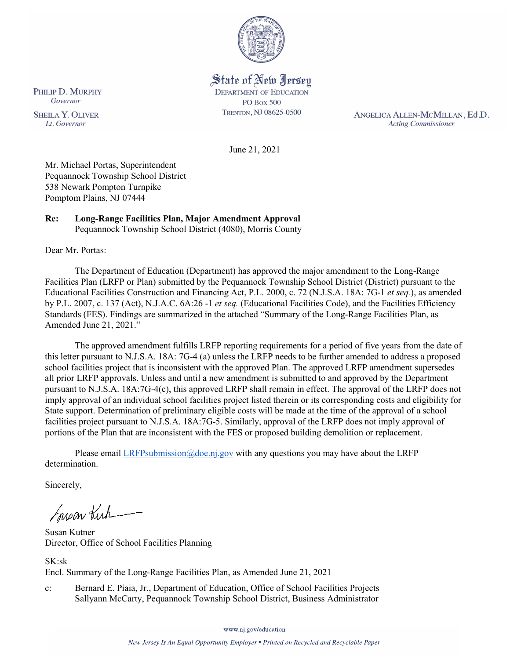

State of New Jersey **DEPARTMENT OF EDUCATION PO Box 500** TRENTON, NJ 08625-0500

ANGELICA ALLEN-MCMILLAN, Ed.D. **Acting Commissioner** 

June 21, 2021

Mr. Michael Portas, Superintendent Pequannock Township School District 538 Newark Pompton Turnpike Pomptom Plains, NJ 07444

#### **Re: Long-Range Facilities Plan, Major Amendment Approval**  Pequannock Township School District (4080), Morris County

Dear Mr. Portas:

The Department of Education (Department) has approved the major amendment to the Long-Range Facilities Plan (LRFP or Plan) submitted by the Pequannock Township School District (District) pursuant to the Educational Facilities Construction and Financing Act, P.L. 2000, c. 72 (N.J.S.A. 18A: 7G-1 *et seq.*), as amended by P.L. 2007, c. 137 (Act), N.J.A.C. 6A:26 -1 *et seq.* (Educational Facilities Code), and the Facilities Efficiency Standards (FES). Findings are summarized in the attached "Summary of the Long-Range Facilities Plan, as Amended June 21, 2021."

The approved amendment fulfills LRFP reporting requirements for a period of five years from the date of this letter pursuant to N.J.S.A. 18A: 7G-4 (a) unless the LRFP needs to be further amended to address a proposed school facilities project that is inconsistent with the approved Plan. The approved LRFP amendment supersedes all prior LRFP approvals. Unless and until a new amendment is submitted to and approved by the Department pursuant to N.J.S.A. 18A:7G-4(c), this approved LRFP shall remain in effect. The approval of the LRFP does not imply approval of an individual school facilities project listed therein or its corresponding costs and eligibility for State support. Determination of preliminary eligible costs will be made at the time of the approval of a school facilities project pursuant to N.J.S.A. 18A:7G-5. Similarly, approval of the LRFP does not imply approval of portions of the Plan that are inconsistent with the FES or proposed building demolition or replacement.

Please email *LRFPsubmission@doe.nj.gov* with any questions you may have about the LRFP determination.

Sincerely,

Susan Kich

Susan Kutner Director, Office of School Facilities Planning

SK:sk Encl. Summary of the Long-Range Facilities Plan, as Amended June 21, 2021

c: Bernard E. Piaia, Jr., Department of Education, Office of School Facilities Projects Sallyann McCarty, Pequannock Township School District, Business Administrator

PHILIP D. MURPHY Governor

**SHEILA Y. OLIVER** Lt. Governor

www.nj.gov/education

New Jersey Is An Equal Opportunity Employer . Printed on Recycled and Recyclable Paper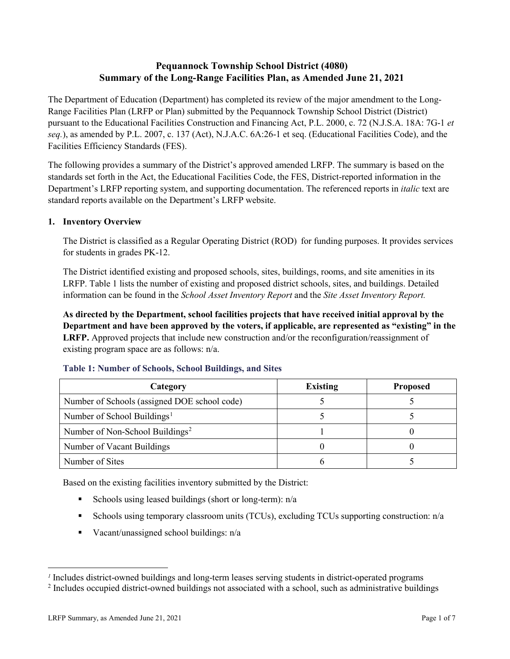# **Pequannock Township School District (4080) Summary of the Long-Range Facilities Plan, as Amended June 21, 2021**

The Department of Education (Department) has completed its review of the major amendment to the Long-Range Facilities Plan (LRFP or Plan) submitted by the Pequannock Township School District (District) pursuant to the Educational Facilities Construction and Financing Act, P.L. 2000, c. 72 (N.J.S.A. 18A: 7G-1 *et seq.*), as amended by P.L. 2007, c. 137 (Act), N.J.A.C. 6A:26-1 et seq. (Educational Facilities Code), and the Facilities Efficiency Standards (FES).

The following provides a summary of the District's approved amended LRFP. The summary is based on the standards set forth in the Act, the Educational Facilities Code, the FES, District-reported information in the Department's LRFP reporting system, and supporting documentation. The referenced reports in *italic* text are standard reports available on the Department's LRFP website.

#### **1. Inventory Overview**

The District is classified as a Regular Operating District (ROD) for funding purposes. It provides services for students in grades PK-12.

The District identified existing and proposed schools, sites, buildings, rooms, and site amenities in its LRFP. Table 1 lists the number of existing and proposed district schools, sites, and buildings. Detailed information can be found in the *School Asset Inventory Report* and the *Site Asset Inventory Report.*

**As directed by the Department, school facilities projects that have received initial approval by the Department and have been approved by the voters, if applicable, are represented as "existing" in the LRFP.** Approved projects that include new construction and/or the reconfiguration/reassignment of existing program space are as follows: n/a.

| Category                                     | <b>Existing</b> | <b>Proposed</b> |
|----------------------------------------------|-----------------|-----------------|
| Number of Schools (assigned DOE school code) |                 |                 |
| Number of School Buildings <sup>1</sup>      |                 |                 |
| Number of Non-School Buildings <sup>2</sup>  |                 |                 |
| Number of Vacant Buildings                   |                 |                 |
| Number of Sites                              |                 |                 |

#### **Table 1: Number of Schools, School Buildings, and Sites**

Based on the existing facilities inventory submitted by the District:

- Schools using leased buildings (short or long-term):  $n/a$
- Schools using temporary classroom units (TCUs), excluding TCUs supporting construction: n/a
- Vacant/unassigned school buildings:  $n/a$

 $\overline{a}$ 

<span id="page-1-1"></span><span id="page-1-0"></span>*<sup>1</sup>* Includes district-owned buildings and long-term leases serving students in district-operated programs

<sup>&</sup>lt;sup>2</sup> Includes occupied district-owned buildings not associated with a school, such as administrative buildings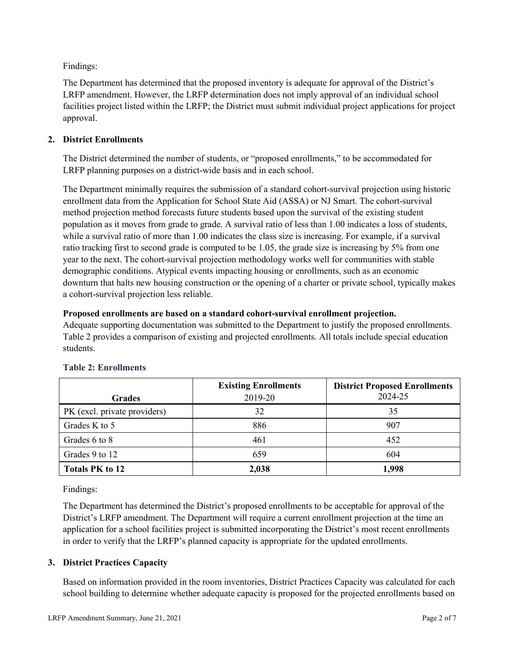Findings:

The Department has determined that the proposed inventory is adequate for approval of the District's LRFP amendment. However, the LRFP determination does not imply approval of an individual school facilities project listed within the LRFP; the District must submit individual project applications for project approval.

# **2. District Enrollments**

The District determined the number of students, or "proposed enrollments," to be accommodated for LRFP planning purposes on a district-wide basis and in each school.

The Department minimally requires the submission of a standard cohort-survival projection using historic enrollment data from the Application for School State Aid (ASSA) or NJ Smart. The cohort-survival method projection method forecasts future students based upon the survival of the existing student population as it moves from grade to grade. A survival ratio of less than 1.00 indicates a loss of students, while a survival ratio of more than 1.00 indicates the class size is increasing. For example, if a survival ratio tracking first to second grade is computed to be 1.05, the grade size is increasing by 5% from one year to the next. The cohort-survival projection methodology works well for communities with stable demographic conditions. Atypical events impacting housing or enrollments, such as an economic downturn that halts new housing construction or the opening of a charter or private school, typically makes a cohort-survival projection less reliable.

#### **Proposed enrollments are based on a standard cohort-survival enrollment projection.**

Adequate supporting documentation was submitted to the Department to justify the proposed enrollments. Table 2 provides a comparison of existing and projected enrollments. All totals include special education students.

|                              | <b>Existing Enrollments</b> | <b>District Proposed Enrollments</b> |
|------------------------------|-----------------------------|--------------------------------------|
| <b>Grades</b>                | 2019-20                     | 2024-25                              |
| PK (excl. private providers) | 32                          | 35                                   |
| Grades K to 5                | 886                         | 907                                  |
| Grades 6 to 8                | 461                         | 452                                  |
| Grades 9 to 12               | 659                         | 604                                  |
| <b>Totals PK to 12</b>       | 2,038                       | 1,998                                |

# **Table 2: Enrollments**

Findings:

The Department has determined the District's proposed enrollments to be acceptable for approval of the District's LRFP amendment. The Department will require a current enrollment projection at the time an application for a school facilities project is submitted incorporating the District's most recent enrollments in order to verify that the LRFP's planned capacity is appropriate for the updated enrollments.

# **3. District Practices Capacity**

Based on information provided in the room inventories, District Practices Capacity was calculated for each school building to determine whether adequate capacity is proposed for the projected enrollments based on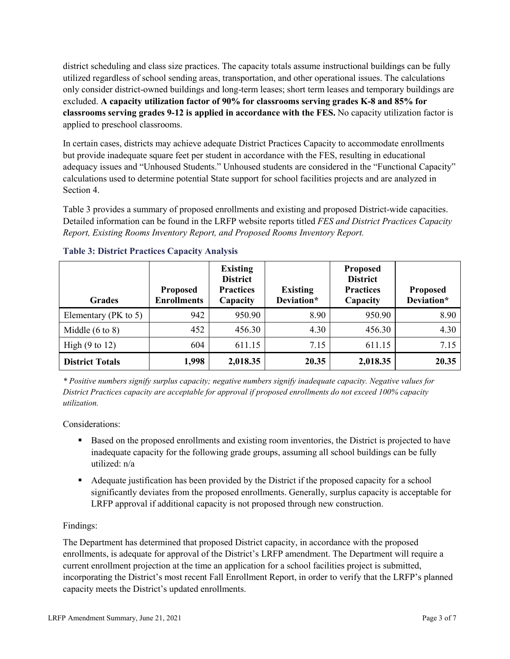district scheduling and class size practices. The capacity totals assume instructional buildings can be fully utilized regardless of school sending areas, transportation, and other operational issues. The calculations only consider district-owned buildings and long-term leases; short term leases and temporary buildings are excluded. **A capacity utilization factor of 90% for classrooms serving grades K-8 and 85% for classrooms serving grades 9-12 is applied in accordance with the FES.** No capacity utilization factor is applied to preschool classrooms.

In certain cases, districts may achieve adequate District Practices Capacity to accommodate enrollments but provide inadequate square feet per student in accordance with the FES, resulting in educational adequacy issues and "Unhoused Students." Unhoused students are considered in the "Functional Capacity" calculations used to determine potential State support for school facilities projects and are analyzed in Section 4.

Table 3 provides a summary of proposed enrollments and existing and proposed District-wide capacities. Detailed information can be found in the LRFP website reports titled *FES and District Practices Capacity Report, Existing Rooms Inventory Report, and Proposed Rooms Inventory Report.*

| <b>Grades</b>              | <b>Proposed</b><br><b>Enrollments</b> | <b>Existing</b><br><b>District</b><br><b>Practices</b><br>Capacity | <b>Existing</b><br>Deviation* | <b>Proposed</b><br><b>District</b><br><b>Practices</b><br>Capacity | <b>Proposed</b><br>Deviation* |
|----------------------------|---------------------------------------|--------------------------------------------------------------------|-------------------------------|--------------------------------------------------------------------|-------------------------------|
| Elementary ( $PK$ to 5)    | 942                                   | 950.90                                                             | 8.90                          | 950.90                                                             | 8.90                          |
| Middle $(6 \text{ to } 8)$ | 452                                   | 456.30                                                             | 4.30                          | 456.30                                                             | 4.30                          |
| High $(9 \text{ to } 12)$  | 604                                   | 611.15                                                             | 7.15                          | 611.15                                                             | 7.15                          |
| <b>District Totals</b>     | 1,998                                 | 2,018.35                                                           | 20.35                         | 2,018.35                                                           | 20.35                         |

# **Table 3: District Practices Capacity Analysis**

*\* Positive numbers signify surplus capacity; negative numbers signify inadequate capacity. Negative values for District Practices capacity are acceptable for approval if proposed enrollments do not exceed 100% capacity utilization.*

Considerations:

- Based on the proposed enrollments and existing room inventories, the District is projected to have inadequate capacity for the following grade groups, assuming all school buildings can be fully utilized: n/a
- Adequate justification has been provided by the District if the proposed capacity for a school significantly deviates from the proposed enrollments. Generally, surplus capacity is acceptable for LRFP approval if additional capacity is not proposed through new construction.

# Findings:

The Department has determined that proposed District capacity, in accordance with the proposed enrollments, is adequate for approval of the District's LRFP amendment. The Department will require a current enrollment projection at the time an application for a school facilities project is submitted, incorporating the District's most recent Fall Enrollment Report, in order to verify that the LRFP's planned capacity meets the District's updated enrollments.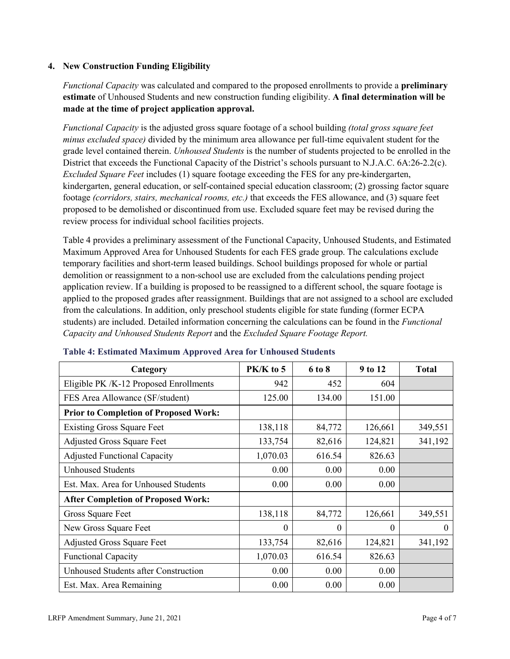# **4. New Construction Funding Eligibility**

*Functional Capacity* was calculated and compared to the proposed enrollments to provide a **preliminary estimate** of Unhoused Students and new construction funding eligibility. **A final determination will be made at the time of project application approval.**

*Functional Capacity* is the adjusted gross square footage of a school building *(total gross square feet minus excluded space)* divided by the minimum area allowance per full-time equivalent student for the grade level contained therein. *Unhoused Students* is the number of students projected to be enrolled in the District that exceeds the Functional Capacity of the District's schools pursuant to N.J.A.C. 6A:26-2.2(c). *Excluded Square Feet* includes (1) square footage exceeding the FES for any pre-kindergarten, kindergarten, general education, or self-contained special education classroom; (2) grossing factor square footage *(corridors, stairs, mechanical rooms, etc.)* that exceeds the FES allowance, and (3) square feet proposed to be demolished or discontinued from use. Excluded square feet may be revised during the review process for individual school facilities projects.

Table 4 provides a preliminary assessment of the Functional Capacity, Unhoused Students, and Estimated Maximum Approved Area for Unhoused Students for each FES grade group. The calculations exclude temporary facilities and short-term leased buildings. School buildings proposed for whole or partial demolition or reassignment to a non-school use are excluded from the calculations pending project application review. If a building is proposed to be reassigned to a different school, the square footage is applied to the proposed grades after reassignment. Buildings that are not assigned to a school are excluded from the calculations. In addition, only preschool students eligible for state funding (former ECPA students) are included. Detailed information concerning the calculations can be found in the *Functional Capacity and Unhoused Students Report* and the *Excluded Square Footage Report.*

| Category                                     | $PK/K$ to 5 | 6 to 8 | 9 to 12  | <b>Total</b> |
|----------------------------------------------|-------------|--------|----------|--------------|
| Eligible PK /K-12 Proposed Enrollments       | 942         | 452    | 604      |              |
| FES Area Allowance (SF/student)              | 125.00      | 134.00 | 151.00   |              |
| <b>Prior to Completion of Proposed Work:</b> |             |        |          |              |
| <b>Existing Gross Square Feet</b>            | 138,118     | 84,772 | 126,661  | 349,551      |
| <b>Adjusted Gross Square Feet</b>            | 133,754     | 82,616 | 124,821  | 341,192      |
| <b>Adjusted Functional Capacity</b>          | 1,070.03    | 616.54 | 826.63   |              |
| Unhoused Students                            | 0.00        | 0.00   | 0.00     |              |
| Est. Max. Area for Unhoused Students         | 0.00        | 0.00   | 0.00     |              |
| <b>After Completion of Proposed Work:</b>    |             |        |          |              |
| Gross Square Feet                            | 138,118     | 84,772 | 126,661  | 349,551      |
| New Gross Square Feet                        | $\theta$    | 0      | $\theta$ | $\Omega$     |
| <b>Adjusted Gross Square Feet</b>            | 133,754     | 82,616 | 124,821  | 341,192      |
| <b>Functional Capacity</b>                   | 1,070.03    | 616.54 | 826.63   |              |
| <b>Unhoused Students after Construction</b>  | 0.00        | 0.00   | 0.00     |              |
| Est. Max. Area Remaining                     | 0.00        | 0.00   | 0.00     |              |

#### **Table 4: Estimated Maximum Approved Area for Unhoused Students**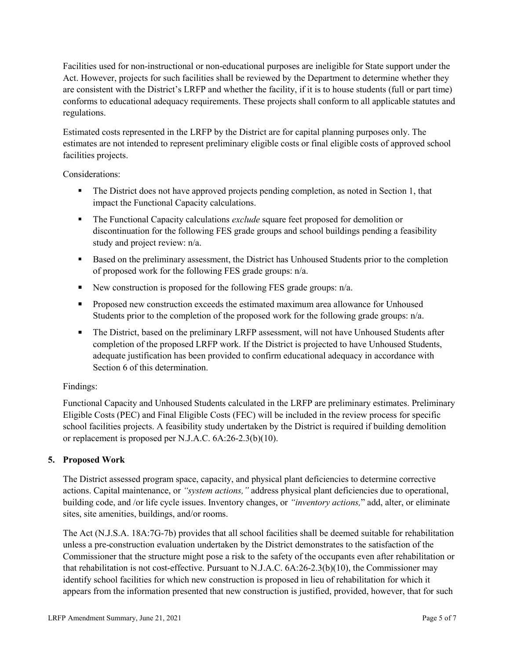Facilities used for non-instructional or non-educational purposes are ineligible for State support under the Act. However, projects for such facilities shall be reviewed by the Department to determine whether they are consistent with the District's LRFP and whether the facility, if it is to house students (full or part time) conforms to educational adequacy requirements. These projects shall conform to all applicable statutes and regulations.

Estimated costs represented in the LRFP by the District are for capital planning purposes only. The estimates are not intended to represent preliminary eligible costs or final eligible costs of approved school facilities projects.

Considerations:

- The District does not have approved projects pending completion, as noted in Section 1, that impact the Functional Capacity calculations.
- **The Functional Capacity calculations** *exclude* square feet proposed for demolition or discontinuation for the following FES grade groups and school buildings pending a feasibility study and project review: n/a.
- Based on the preliminary assessment, the District has Unhoused Students prior to the completion of proposed work for the following FES grade groups: n/a.
- New construction is proposed for the following FES grade groups: n/a.
- Proposed new construction exceeds the estimated maximum area allowance for Unhoused Students prior to the completion of the proposed work for the following grade groups: n/a.
- The District, based on the preliminary LRFP assessment, will not have Unhoused Students after completion of the proposed LRFP work. If the District is projected to have Unhoused Students, adequate justification has been provided to confirm educational adequacy in accordance with Section 6 of this determination.

# Findings:

Functional Capacity and Unhoused Students calculated in the LRFP are preliminary estimates. Preliminary Eligible Costs (PEC) and Final Eligible Costs (FEC) will be included in the review process for specific school facilities projects. A feasibility study undertaken by the District is required if building demolition or replacement is proposed per N.J.A.C. 6A:26-2.3(b)(10).

# **5. Proposed Work**

The District assessed program space, capacity, and physical plant deficiencies to determine corrective actions. Capital maintenance, or *"system actions,"* address physical plant deficiencies due to operational, building code, and /or life cycle issues. Inventory changes, or *"inventory actions,*" add, alter, or eliminate sites, site amenities, buildings, and/or rooms.

The Act (N.J.S.A. 18A:7G-7b) provides that all school facilities shall be deemed suitable for rehabilitation unless a pre-construction evaluation undertaken by the District demonstrates to the satisfaction of the Commissioner that the structure might pose a risk to the safety of the occupants even after rehabilitation or that rehabilitation is not cost-effective. Pursuant to N.J.A.C. 6A:26-2.3(b)(10), the Commissioner may identify school facilities for which new construction is proposed in lieu of rehabilitation for which it appears from the information presented that new construction is justified, provided, however, that for such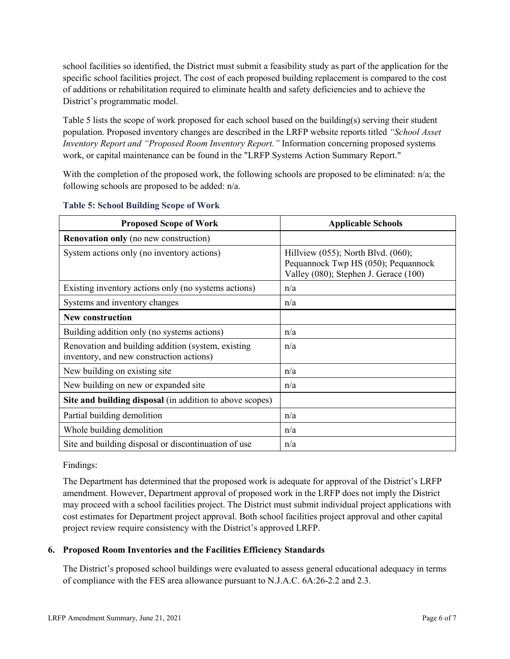school facilities so identified, the District must submit a feasibility study as part of the application for the specific school facilities project. The cost of each proposed building replacement is compared to the cost of additions or rehabilitation required to eliminate health and safety deficiencies and to achieve the District's programmatic model.

Table 5 lists the scope of work proposed for each school based on the building(s) serving their student population. Proposed inventory changes are described in the LRFP website reports titled *"School Asset Inventory Report and "Proposed Room Inventory Report."* Information concerning proposed systems work, or capital maintenance can be found in the "LRFP Systems Action Summary Report."

With the completion of the proposed work, the following schools are proposed to be eliminated: n/a; the following schools are proposed to be added: n/a.

| <b>Proposed Scope of Work</b>                                                                  | <b>Applicable Schools</b>                                                                                                |
|------------------------------------------------------------------------------------------------|--------------------------------------------------------------------------------------------------------------------------|
| <b>Renovation only</b> (no new construction)                                                   |                                                                                                                          |
| System actions only (no inventory actions)                                                     | Hillview $(055)$ ; North Blvd. $(060)$ ;<br>Pequannock Twp HS (050); Pequannock<br>Valley (080); Stephen J. Gerace (100) |
| Existing inventory actions only (no systems actions)                                           | n/a                                                                                                                      |
| Systems and inventory changes                                                                  | n/a                                                                                                                      |
| <b>New construction</b>                                                                        |                                                                                                                          |
| Building addition only (no systems actions)                                                    | n/a                                                                                                                      |
| Renovation and building addition (system, existing<br>inventory, and new construction actions) | n/a                                                                                                                      |
| New building on existing site                                                                  | n/a                                                                                                                      |
| New building on new or expanded site                                                           | n/a                                                                                                                      |
| Site and building disposal (in addition to above scopes)                                       |                                                                                                                          |
| Partial building demolition                                                                    | n/a                                                                                                                      |
| Whole building demolition                                                                      | n/a                                                                                                                      |
| Site and building disposal or discontinuation of use                                           | n/a                                                                                                                      |

#### **Table 5: School Building Scope of Work**

Findings:

The Department has determined that the proposed work is adequate for approval of the District's LRFP amendment. However, Department approval of proposed work in the LRFP does not imply the District may proceed with a school facilities project. The District must submit individual project applications with cost estimates for Department project approval. Both school facilities project approval and other capital project review require consistency with the District's approved LRFP.

# **6. Proposed Room Inventories and the Facilities Efficiency Standards**

The District's proposed school buildings were evaluated to assess general educational adequacy in terms of compliance with the FES area allowance pursuant to N.J.A.C. 6A:26-2.2 and 2.3.